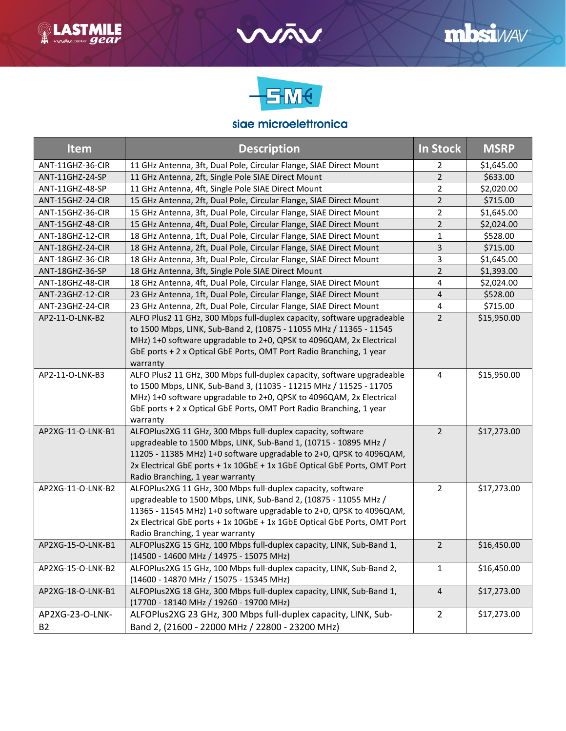



## siae microelettronica

| <b>Item</b>       | <b>Description</b>                                                                                                                                                                                                                                                                                                     | In Stock       | <b>MSRP</b> |
|-------------------|------------------------------------------------------------------------------------------------------------------------------------------------------------------------------------------------------------------------------------------------------------------------------------------------------------------------|----------------|-------------|
| ANT-11GHZ-36-CIR  | 11 GHz Antenna, 3ft, Dual Pole, Circular Flange, SIAE Direct Mount                                                                                                                                                                                                                                                     | 2              | \$1,645.00  |
| ANT-11GHZ-24-SP   | 11 GHz Antenna, 2ft, Single Pole SIAE Direct Mount                                                                                                                                                                                                                                                                     | $\overline{2}$ | \$633.00    |
| ANT-11GHZ-48-SP   | 11 GHz Antenna, 4ft, Single Pole SIAE Direct Mount                                                                                                                                                                                                                                                                     | 2              | \$2,020.00  |
| ANT-15GHZ-24-CIR  | 15 GHz Antenna, 2ft, Dual Pole, Circular Flange, SIAE Direct Mount                                                                                                                                                                                                                                                     | $\overline{2}$ | \$715.00    |
| ANT-15GHZ-36-CIR  | 15 GHz Antenna, 3ft, Dual Pole, Circular Flange, SIAE Direct Mount                                                                                                                                                                                                                                                     | 2              | \$1,645.00  |
| ANT-15GHZ-48-CIR  | 15 GHz Antenna, 4ft, Dual Pole, Circular Flange, SIAE Direct Mount                                                                                                                                                                                                                                                     | 2              | \$2,024.00  |
| ANT-18GHZ-12-CIR  | 18 GHz Antenna, 1ft, Dual Pole, Circular Flange, SIAE Direct Mount                                                                                                                                                                                                                                                     | 1              | \$528.00    |
| ANT-18GHZ-24-CIR  | 18 GHz Antenna, 2ft, Dual Pole, Circular Flange, SIAE Direct Mount                                                                                                                                                                                                                                                     | 3              | \$715.00    |
| ANT-18GHZ-36-CIR  | 18 GHz Antenna, 3ft, Dual Pole, Circular Flange, SIAE Direct Mount                                                                                                                                                                                                                                                     | 3              | \$1,645.00  |
| ANT-18GHZ-36-SP   | 18 GHz Antenna, 3ft, Single Pole SIAE Direct Mount                                                                                                                                                                                                                                                                     | $\overline{2}$ | \$1,393.00  |
| ANT-18GHZ-48-CIR  | 18 GHz Antenna, 4ft, Dual Pole, Circular Flange, SIAE Direct Mount                                                                                                                                                                                                                                                     | 4              | \$2,024.00  |
| ANT-23GHZ-12-CIR  | 23 GHz Antenna, 1ft, Dual Pole, Circular Flange, SIAE Direct Mount                                                                                                                                                                                                                                                     | $\overline{4}$ | \$528.00    |
| ANT-23GHZ-24-CIR  | 23 GHz Antenna, 2ft, Dual Pole, Circular Flange, SIAE Direct Mount                                                                                                                                                                                                                                                     | 4              | \$715.00    |
| AP2-11-O-LNK-B2   | ALFO Plus2 11 GHz, 300 Mbps full-duplex capacity, software upgradeable<br>to 1500 Mbps, LINK, Sub-Band 2, (10875 - 11055 MHz / 11365 - 11545<br>MHz) 1+0 software upgradable to 2+0, QPSK to 4096QAM, 2x Electrical<br>GbE ports + 2 x Optical GbE Ports, OMT Port Radio Branching, 1 year<br>warranty                 | $\overline{2}$ | \$15,950.00 |
| AP2-11-O-LNK-B3   | ALFO Plus2 11 GHz, 300 Mbps full-duplex capacity, software upgradeable<br>to 1500 Mbps, LINK, Sub-Band 3, (11035 - 11215 MHz / 11525 - 11705<br>MHz) 1+0 software upgradable to 2+0, QPSK to 4096QAM, 2x Electrical<br>GbE ports + 2 x Optical GbE Ports, OMT Port Radio Branching, 1 year<br>warranty                 | $\overline{4}$ | \$15,950.00 |
| AP2XG-11-O-LNK-B1 | ALFOPlus2XG 11 GHz, 300 Mbps full-duplex capacity, software<br>upgradeable to 1500 Mbps, LINK, Sub-Band 1, (10715 - 10895 MHz /<br>11205 - 11385 MHz) 1+0 software upgradable to 2+0, QPSK to 4096QAM,<br>2x Electrical GbE ports + 1x 10GbE + 1x 1GbE Optical GbE Ports, OMT Port<br>Radio Branching, 1 year warranty | $\overline{2}$ | \$17,273.00 |
| AP2XG-11-O-LNK-B2 | ALFOPlus2XG 11 GHz, 300 Mbps full-duplex capacity, software<br>upgradeable to 1500 Mbps, LINK, Sub-Band 2, (10875 - 11055 MHz /<br>11365 - 11545 MHz) 1+0 software upgradable to 2+0, QPSK to 4096QAM,<br>2x Electrical GbE ports + 1x 10GbE + 1x 1GbE Optical GbE Ports, OMT Port<br>Radio Branching, 1 year warranty | $\overline{2}$ | \$17,273.00 |
| AP2XG-15-O-LNK-B1 | ALFOPlus2XG 15 GHz, 100 Mbps full-duplex capacity, LINK, Sub-Band 1,<br>(14500 - 14600 MHz / 14975 - 15075 MHz)                                                                                                                                                                                                        | $\overline{2}$ | \$16,450.00 |
| AP2XG-15-O-LNK-B2 | ALFOPIus2XG 15 GHz, 100 Mbps full-duplex capacity, LINK, Sub-Band 2,<br>(14600 - 14870 MHz / 15075 - 15345 MHz)                                                                                                                                                                                                        | $\mathbf{1}$   | \$16,450.00 |
| AP2XG-18-O-LNK-B1 | ALFOPlus2XG 18 GHz, 300 Mbps full-duplex capacity, LINK, Sub-Band 1,<br>(17700 - 18140 MHz / 19260 - 19700 MHz)                                                                                                                                                                                                        | $\overline{a}$ | \$17,273.00 |
| AP2XG-23-O-LNK-   | ALFOPlus2XG 23 GHz, 300 Mbps full-duplex capacity, LINK, Sub-                                                                                                                                                                                                                                                          | $\overline{2}$ | \$17,273.00 |
| <b>B2</b>         | Band 2, (21600 - 22000 MHz / 22800 - 23200 MHz)                                                                                                                                                                                                                                                                        |                |             |